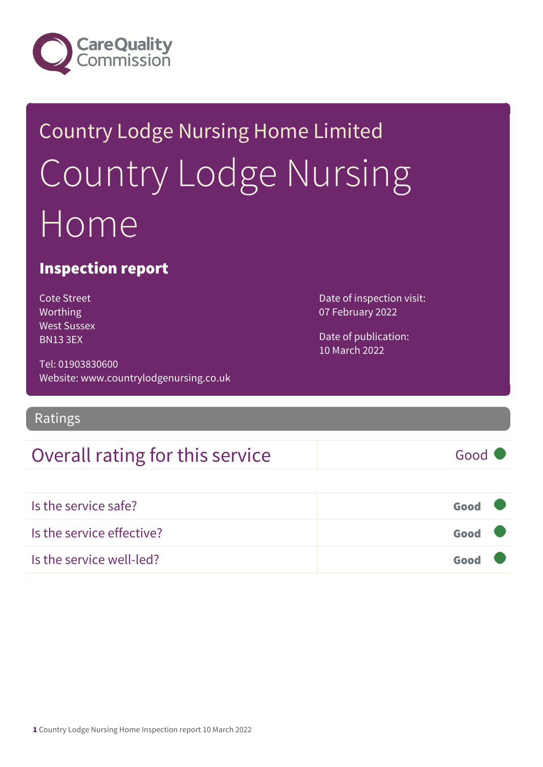

## Country Lodge Nursing Home Limited Country Lodge Nursing Home

#### Inspection report

Cote Street Worthing West Sussex BN13 3EX

Tel: 01903830600 Website: www.countrylodgenursing.co.uk

#### Ratings

### Overall rating for this service Good

Is the service safe? Good Is the service effective? Good Is the service well-led? Good

Date of inspection visit: 07 February 2022

Date of publication: 10 March 2022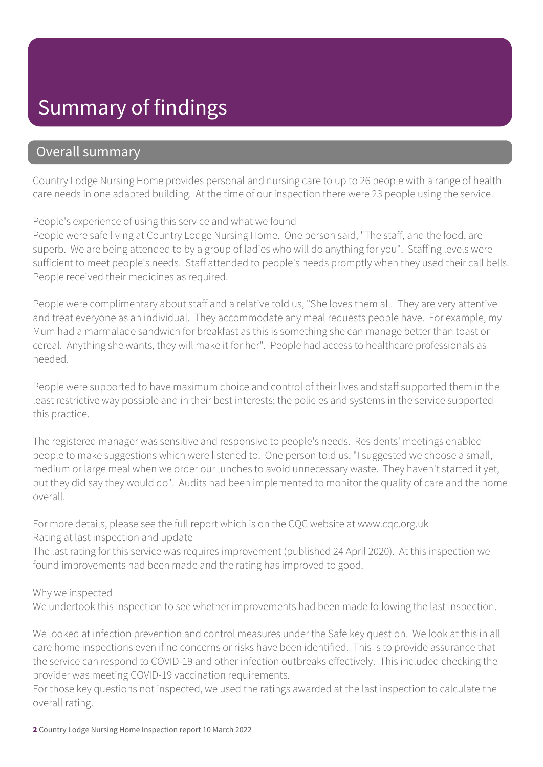### Summary of findings

#### Overall summary

Country Lodge Nursing Home provides personal and nursing care to up to 26 people with a range of health care needs in one adapted building. At the time of our inspection there were 23 people using the service.

People's experience of using this service and what we found

People were safe living at Country Lodge Nursing Home. One person said, "The staff, and the food, are superb. We are being attended to by a group of ladies who will do anything for you". Staffing levels were sufficient to meet people's needs. Staff attended to people's needs promptly when they used their call bells. People received their medicines as required.

People were complimentary about staff and a relative told us, "She loves them all. They are very attentive and treat everyone as an individual. They accommodate any meal requests people have. For example, my Mum had a marmalade sandwich for breakfast as this is something she can manage better than toast or cereal. Anything she wants, they will make it for her". People had access to healthcare professionals as needed.

People were supported to have maximum choice and control of their lives and staff supported them in the least restrictive way possible and in their best interests; the policies and systems in the service supported this practice.

The registered manager was sensitive and responsive to people's needs. Residents' meetings enabled people to make suggestions which were listened to. One person told us, "I suggested we choose a small, medium or large meal when we order our lunches to avoid unnecessary waste. They haven't started it yet, but they did say they would do". Audits had been implemented to monitor the quality of care and the home overall.

For more details, please see the full report which is on the CQC website at www.cqc.org.uk Rating at last inspection and update

The last rating for this service was requires improvement (published 24 April 2020). At this inspection we found improvements had been made and the rating has improved to good.

Why we inspected

We undertook this inspection to see whether improvements had been made following the last inspection.

We looked at infection prevention and control measures under the Safe key question. We look at this in all care home inspections even if no concerns or risks have been identified. This is to provide assurance that the service can respond to COVID-19 and other infection outbreaks effectively. This included checking the provider was meeting COVID-19 vaccination requirements.

For those key questions not inspected, we used the ratings awarded at the last inspection to calculate the overall rating.

2 Country Lodge Nursing Home Inspection report 10 March 2022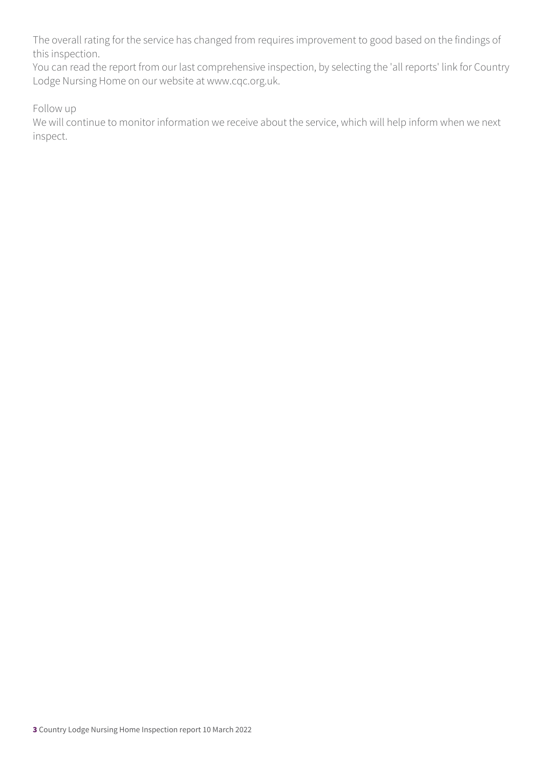The overall rating for the service has changed from requires improvement to good based on the findings of this inspection.

You can read the report from our last comprehensive inspection, by selecting the 'all reports' link for Country Lodge Nursing Home on our website at www.cqc.org.uk.

Follow up

We will continue to monitor information we receive about the service, which will help inform when we next inspect.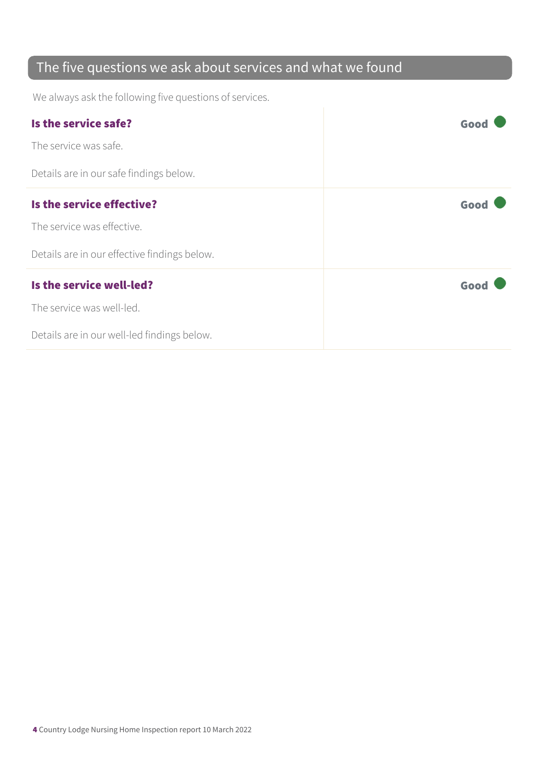### The five questions we ask about services and what we found

We always ask the following five questions of services.

| Is the service safe?                         | Goo  |
|----------------------------------------------|------|
| The service was safe.                        |      |
| Details are in our safe findings below.      |      |
| Is the service effective?                    | Good |
| The service was effective.                   |      |
| Details are in our effective findings below. |      |
| Is the service well-led?                     | Good |
| The service was well-led.                    |      |
| Details are in our well-led findings below.  |      |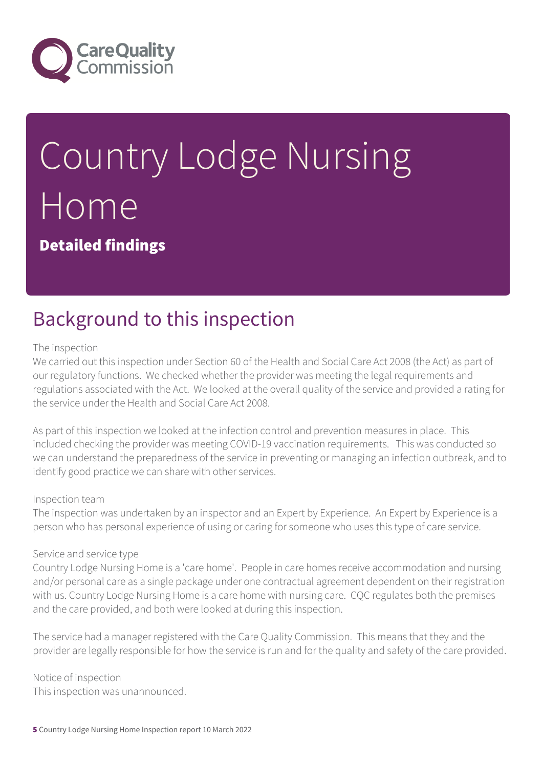

# Country Lodge Nursing Home

Detailed findings

### Background to this inspection

#### The inspection

We carried out this inspection under Section 60 of the Health and Social Care Act 2008 (the Act) as part of our regulatory functions. We checked whether the provider was meeting the legal requirements and regulations associated with the Act. We looked at the overall quality of the service and provided a rating for the service under the Health and Social Care Act 2008.

As part of this inspection we looked at the infection control and prevention measures in place. This included checking the provider was meeting COVID-19 vaccination requirements. This was conducted so we can understand the preparedness of the service in preventing or managing an infection outbreak, and to identify good practice we can share with other services.

#### Inspection team

The inspection was undertaken by an inspector and an Expert by Experience. An Expert by Experience is a person who has personal experience of using or caring for someone who uses this type of care service.

#### Service and service type

Country Lodge Nursing Home is a 'care home'. People in care homes receive accommodation and nursing and/or personal care as a single package under one contractual agreement dependent on their registration with us. Country Lodge Nursing Home is a care home with nursing care. CQC regulates both the premises and the care provided, and both were looked at during this inspection.

The service had a manager registered with the Care Quality Commission. This means that they and the provider are legally responsible for how the service is run and for the quality and safety of the care provided.

Notice of inspection This inspection was unannounced.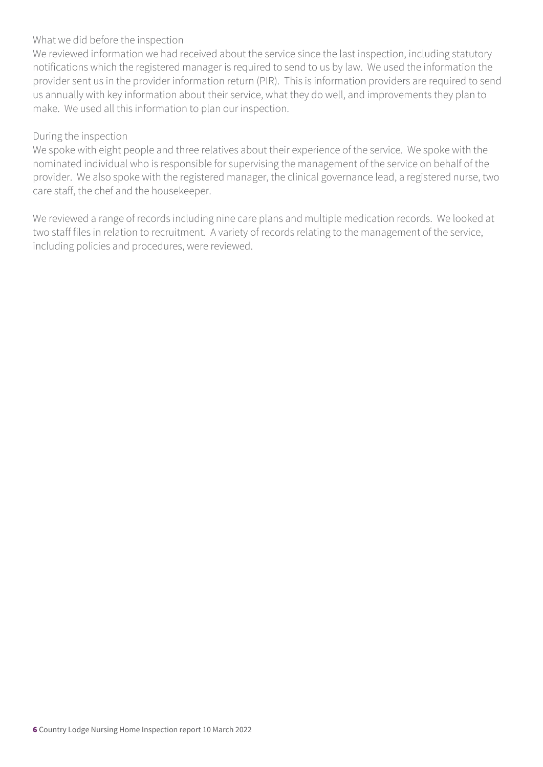#### What we did before the inspection

We reviewed information we had received about the service since the last inspection, including statutory notifications which the registered manager is required to send to us by law. We used the information the provider sent us in the provider information return (PIR). This is information providers are required to send us annually with key information about their service, what they do well, and improvements they plan to make. We used all this information to plan our inspection.

#### During the inspection

We spoke with eight people and three relatives about their experience of the service. We spoke with the nominated individual who is responsible for supervising the management of the service on behalf of the provider. We also spoke with the registered manager, the clinical governance lead, a registered nurse, two care staff, the chef and the housekeeper.

We reviewed a range of records including nine care plans and multiple medication records. We looked at two staff files in relation to recruitment. A variety of records relating to the management of the service, including policies and procedures, were reviewed.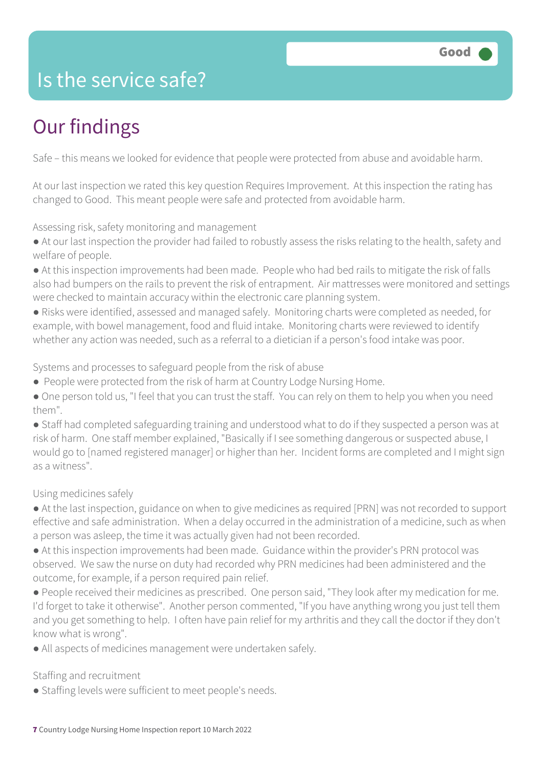### Is the service safe?

### Our findings

Safe – this means we looked for evidence that people were protected from abuse and avoidable harm.

At our last inspection we rated this key question Requires Improvement. At this inspection the rating has changed to Good. This meant people were safe and protected from avoidable harm.

Assessing risk, safety monitoring and management

- At our last inspection the provider had failed to robustly assess the risks relating to the health, safety and welfare of people.
- At this inspection improvements had been made. People who had bed rails to mitigate the risk of falls also had bumpers on the rails to prevent the risk of entrapment. Air mattresses were monitored and settings were checked to maintain accuracy within the electronic care planning system.
- Risks were identified, assessed and managed safely. Monitoring charts were completed as needed, for example, with bowel management, food and fluid intake. Monitoring charts were reviewed to identify whether any action was needed, such as a referral to a dietician if a person's food intake was poor.

Systems and processes to safeguard people from the risk of abuse

- People were protected from the risk of harm at Country Lodge Nursing Home.
- One person told us, "I feel that you can trust the staff. You can rely on them to help you when you need them".

● Staff had completed safeguarding training and understood what to do if they suspected a person was at risk of harm. One staff member explained, "Basically if I see something dangerous or suspected abuse, I would go to [named registered manager] or higher than her. Incident forms are completed and I might sign as a witness".

Using medicines safely

- At the last inspection, guidance on when to give medicines as required [PRN] was not recorded to support effective and safe administration. When a delay occurred in the administration of a medicine, such as when a person was asleep, the time it was actually given had not been recorded.
- At this inspection improvements had been made. Guidance within the provider's PRN protocol was observed. We saw the nurse on duty had recorded why PRN medicines had been administered and the outcome, for example, if a person required pain relief.
- People received their medicines as prescribed. One person said, "They look after my medication for me. I'd forget to take it otherwise". Another person commented, "If you have anything wrong you just tell them and you get something to help. I often have pain relief for my arthritis and they call the doctor if they don't know what is wrong".
- All aspects of medicines management were undertaken safely.

Staffing and recruitment

● Staffing levels were sufficient to meet people's needs.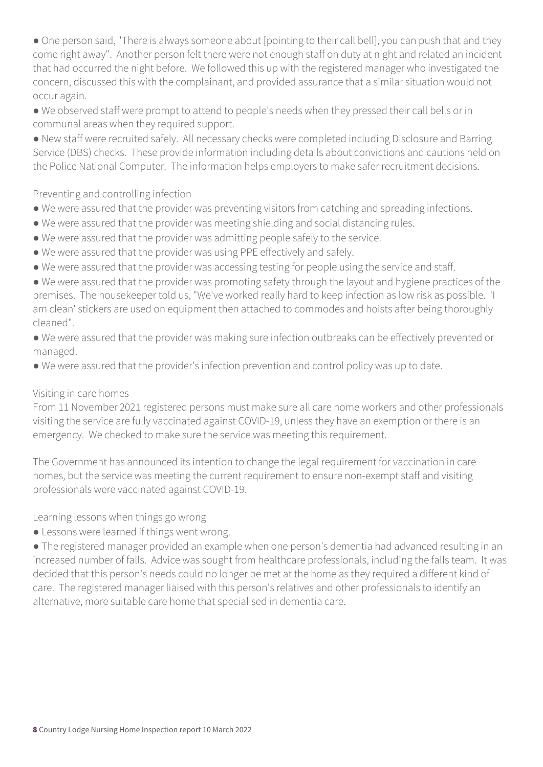• One person said, "There is always someone about [pointing to their call bell], you can push that and they come right away". Another person felt there were not enough staff on duty at night and related an incident that had occurred the night before. We followed this up with the registered manager who investigated the concern, discussed this with the complainant, and provided assurance that a similar situation would not occur again.

● We observed staff were prompt to attend to people's needs when they pressed their call bells or in communal areas when they required support.

● New staff were recruited safely. All necessary checks were completed including Disclosure and Barring Service (DBS) checks. These provide information including details about convictions and cautions held on the Police National Computer. The information helps employers to make safer recruitment decisions.

Preventing and controlling infection

- We were assured that the provider was preventing visitors from catching and spreading infections.
- We were assured that the provider was meeting shielding and social distancing rules.
- We were assured that the provider was admitting people safely to the service.
- We were assured that the provider was using PPE effectively and safely.
- We were assured that the provider was accessing testing for people using the service and staff.

● We were assured that the provider was promoting safety through the layout and hygiene practices of the premises. The housekeeper told us, "We've worked really hard to keep infection as low risk as possible. 'I am clean' stickers are used on equipment then attached to commodes and hoists after being thoroughly cleaned".

- We were assured that the provider was making sure infection outbreaks can be effectively prevented or managed.
- We were assured that the provider's infection prevention and control policy was up to date.

#### Visiting in care homes

From 11 November 2021 registered persons must make sure all care home workers and other professionals visiting the service are fully vaccinated against COVID-19, unless they have an exemption or there is an emergency. We checked to make sure the service was meeting this requirement.

The Government has announced its intention to change the legal requirement for vaccination in care homes, but the service was meeting the current requirement to ensure non-exempt staff and visiting professionals were vaccinated against COVID-19.

Learning lessons when things go wrong

● Lessons were learned if things went wrong.

● The registered manager provided an example when one person's dementia had advanced resulting in an increased number of falls. Advice was sought from healthcare professionals, including the falls team. It was decided that this person's needs could no longer be met at the home as they required a different kind of care. The registered manager liaised with this person's relatives and other professionals to identify an alternative, more suitable care home that specialised in dementia care.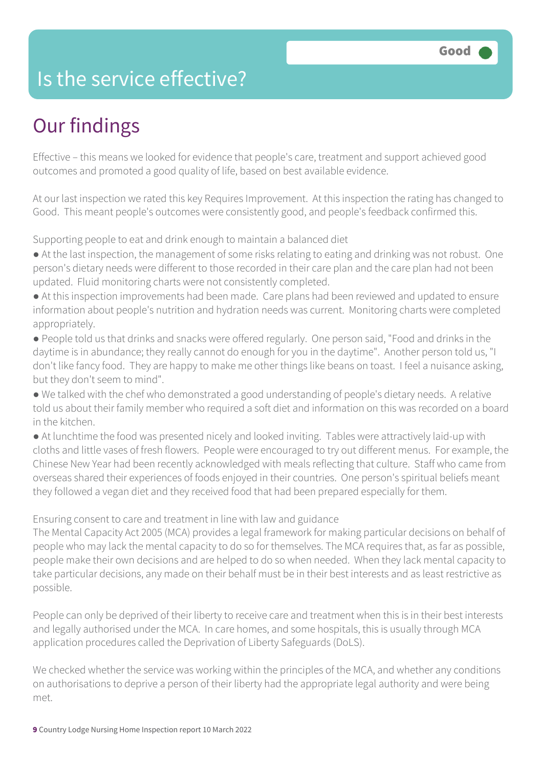### Is the service effective?

### Our findings

Effective – this means we looked for evidence that people's care, treatment and support achieved good outcomes and promoted a good quality of life, based on best available evidence.

At our last inspection we rated this key Requires Improvement. At this inspection the rating has changed to Good. This meant people's outcomes were consistently good, and people's feedback confirmed this.

Supporting people to eat and drink enough to maintain a balanced diet

- At the last inspection, the management of some risks relating to eating and drinking was not robust. One person's dietary needs were different to those recorded in their care plan and the care plan had not been updated. Fluid monitoring charts were not consistently completed.
- At this inspection improvements had been made. Care plans had been reviewed and updated to ensure information about people's nutrition and hydration needs was current. Monitoring charts were completed appropriately.
- People told us that drinks and snacks were offered regularly. One person said, "Food and drinks in the daytime is in abundance; they really cannot do enough for you in the daytime". Another person told us, "I don't like fancy food. They are happy to make me other things like beans on toast. I feel a nuisance asking, but they don't seem to mind".
- We talked with the chef who demonstrated a good understanding of people's dietary needs. A relative told us about their family member who required a soft diet and information on this was recorded on a board in the kitchen.
- At lunchtime the food was presented nicely and looked inviting. Tables were attractively laid-up with cloths and little vases of fresh flowers. People were encouraged to try out different menus. For example, the Chinese New Year had been recently acknowledged with meals reflecting that culture. Staff who came from overseas shared their experiences of foods enjoyed in their countries. One person's spiritual beliefs meant they followed a vegan diet and they received food that had been prepared especially for them.

Ensuring consent to care and treatment in line with law and guidance

The Mental Capacity Act 2005 (MCA) provides a legal framework for making particular decisions on behalf of people who may lack the mental capacity to do so for themselves. The MCA requires that, as far as possible, people make their own decisions and are helped to do so when needed. When they lack mental capacity to take particular decisions, any made on their behalf must be in their best interests and as least restrictive as possible.

People can only be deprived of their liberty to receive care and treatment when this is in their best interests and legally authorised under the MCA. In care homes, and some hospitals, this is usually through MCA application procedures called the Deprivation of Liberty Safeguards (DoLS).

We checked whether the service was working within the principles of the MCA, and whether any conditions on authorisations to deprive a person of their liberty had the appropriate legal authority and were being met.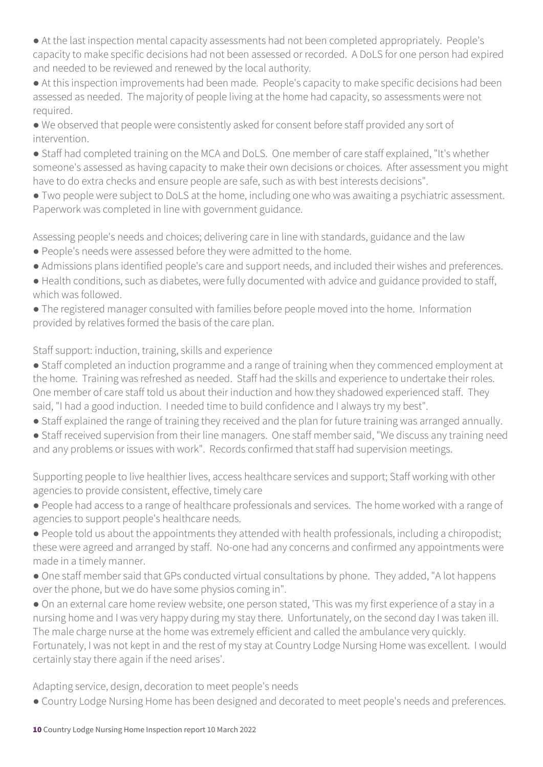● At the last inspection mental capacity assessments had not been completed appropriately. People's capacity to make specific decisions had not been assessed or recorded. A DoLS for one person had expired and needed to be reviewed and renewed by the local authority.

● At this inspection improvements had been made. People's capacity to make specific decisions had been assessed as needed. The majority of people living at the home had capacity, so assessments were not required.

● We observed that people were consistently asked for consent before staff provided any sort of intervention.

● Staff had completed training on the MCA and DoLS. One member of care staff explained, "It's whether someone's assessed as having capacity to make their own decisions or choices. After assessment you might have to do extra checks and ensure people are safe, such as with best interests decisions".

● Two people were subject to DoLS at the home, including one who was awaiting a psychiatric assessment. Paperwork was completed in line with government guidance.

Assessing people's needs and choices; delivering care in line with standards, guidance and the law

- People's needs were assessed before they were admitted to the home.
- Admissions plans identified people's care and support needs, and included their wishes and preferences.
- Health conditions, such as diabetes, were fully documented with advice and guidance provided to staff, which was followed.

● The registered manager consulted with families before people moved into the home. Information provided by relatives formed the basis of the care plan.

Staff support: induction, training, skills and experience

● Staff completed an induction programme and a range of training when they commenced employment at the home. Training was refreshed as needed. Staff had the skills and experience to undertake their roles. One member of care staff told us about their induction and how they shadowed experienced staff. They said, "I had a good induction. I needed time to build confidence and I always try my best".

- Staff explained the range of training they received and the plan for future training was arranged annually.
- Staff received supervision from their line managers. One staff member said, "We discuss any training need and any problems or issues with work". Records confirmed that staff had supervision meetings.

Supporting people to live healthier lives, access healthcare services and support; Staff working with other agencies to provide consistent, effective, timely care

- People had access to a range of healthcare professionals and services. The home worked with a range of agencies to support people's healthcare needs.
- People told us about the appointments they attended with health professionals, including a chiropodist; these were agreed and arranged by staff. No-one had any concerns and confirmed any appointments were made in a timely manner.
- One staff member said that GPs conducted virtual consultations by phone. They added, "A lot happens over the phone, but we do have some physios coming in".

● On an external care home review website, one person stated, 'This was my first experience of a stay in a nursing home and I was very happy during my stay there. Unfortunately, on the second day I was taken ill. The male charge nurse at the home was extremely efficient and called the ambulance very quickly. Fortunately, I was not kept in and the rest of my stay at Country Lodge Nursing Home was excellent. I would

Adapting service, design, decoration to meet people's needs

certainly stay there again if the need arises'.

● Country Lodge Nursing Home has been designed and decorated to meet people's needs and preferences.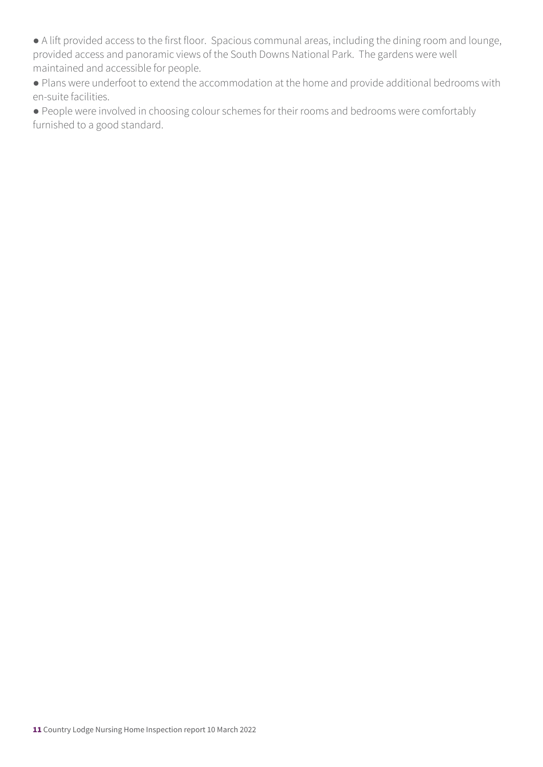● A lift provided access to the first floor. Spacious communal areas, including the dining room and lounge, provided access and panoramic views of the South Downs National Park. The gardens were well maintained and accessible for people.

● Plans were underfoot to extend the accommodation at the home and provide additional bedrooms with en-suite facilities.

● People were involved in choosing colour schemes for their rooms and bedrooms were comfortably furnished to a good standard.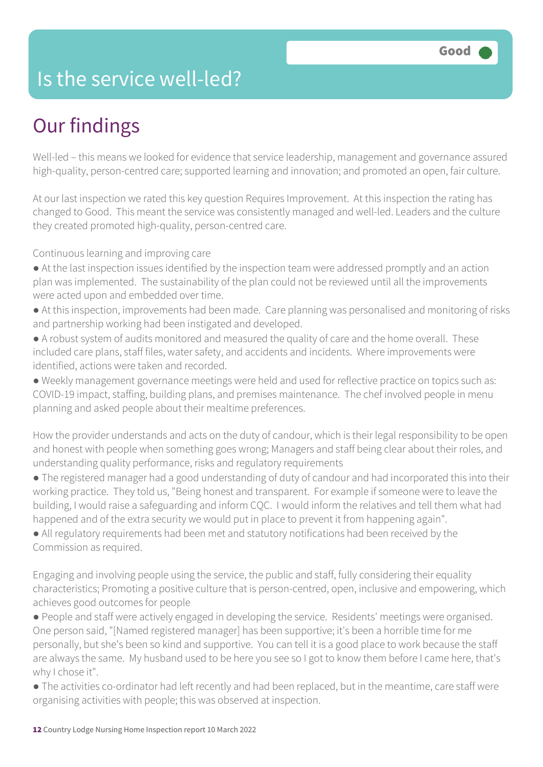### Is the service well-led?

### Our findings

Well-led – this means we looked for evidence that service leadership, management and governance assured high-quality, person-centred care; supported learning and innovation; and promoted an open, fair culture.

At our last inspection we rated this key question Requires Improvement. At this inspection the rating has changed to Good. This meant the service was consistently managed and well-led. Leaders and the culture they created promoted high-quality, person-centred care.

Continuous learning and improving care

- At the last inspection issues identified by the inspection team were addressed promptly and an action plan was implemented. The sustainability of the plan could not be reviewed until all the improvements were acted upon and embedded over time.
- At this inspection, improvements had been made. Care planning was personalised and monitoring of risks and partnership working had been instigated and developed.
- A robust system of audits monitored and measured the quality of care and the home overall. These included care plans, staff files, water safety, and accidents and incidents. Where improvements were identified, actions were taken and recorded.
- Weekly management governance meetings were held and used for reflective practice on topics such as: COVID-19 impact, staffing, building plans, and premises maintenance. The chef involved people in menu planning and asked people about their mealtime preferences.

How the provider understands and acts on the duty of candour, which is their legal responsibility to be open and honest with people when something goes wrong; Managers and staff being clear about their roles, and understanding quality performance, risks and regulatory requirements

- The registered manager had a good understanding of duty of candour and had incorporated this into their working practice. They told us, "Being honest and transparent. For example if someone were to leave the building, I would raise a safeguarding and inform CQC. I would inform the relatives and tell them what had happened and of the extra security we would put in place to prevent it from happening again".
- All regulatory requirements had been met and statutory notifications had been received by the Commission as required.

Engaging and involving people using the service, the public and staff, fully considering their equality characteristics; Promoting a positive culture that is person-centred, open, inclusive and empowering, which achieves good outcomes for people

- People and staff were actively engaged in developing the service. Residents' meetings were organised. One person said, "[Named registered manager] has been supportive; it's been a horrible time for me personally, but she's been so kind and supportive. You can tell it is a good place to work because the staff are always the same. My husband used to be here you see so I got to know them before I came here, that's why I chose it".
- The activities co-ordinator had left recently and had been replaced, but in the meantime, care staff were organising activities with people; this was observed at inspection.